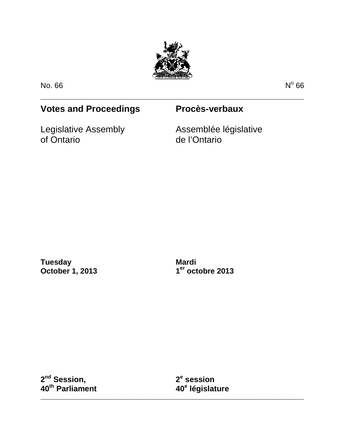

\_\_\_\_\_\_\_\_\_\_\_\_\_\_\_\_\_\_\_\_\_\_\_\_\_\_\_\_\_\_\_\_\_\_\_\_\_\_\_\_\_\_\_\_\_\_\_\_\_\_\_\_\_\_\_\_\_\_\_\_\_\_\_\_\_\_\_\_\_\_\_\_\_\_\_\_\_\_\_\_\_\_\_\_\_

No. 66 No.  $\theta$  66

# **Votes and Proceedings Procès-verbaux**

Legislative Assembly of Ontario

Assemblée législative de l'Ontario

**Tuesday October 1, 2013**

**Mardi 1er octobre 2013**

**2nd Session, 40th Parliament** **2e session 40e législature**

\_\_\_\_\_\_\_\_\_\_\_\_\_\_\_\_\_\_\_\_\_\_\_\_\_\_\_\_\_\_\_\_\_\_\_\_\_\_\_\_\_\_\_\_\_\_\_\_\_\_\_\_\_\_\_\_\_\_\_\_\_\_\_\_\_\_\_\_\_\_\_\_\_\_\_\_\_\_\_\_\_\_\_\_\_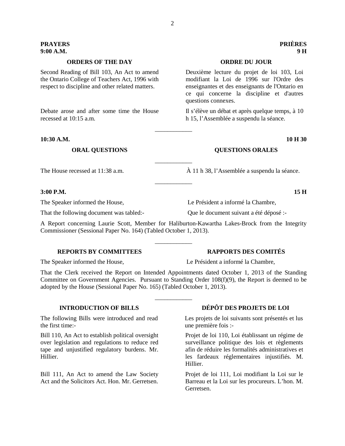# **ORDERS OF THE DAY ORDRE DU JOUR**

Second Reading of Bill 103, An Act to amend the Ontario College of Teachers Act, 1996 with respect to discipline and other related matters.

Debate arose and after some time the House recessed at 10:15 a.m.

### **10:30 A.M. 10 H 30**

### **3:00 P.M. 15 H**

The Speaker informed the House, Le Président a informé la Chambre,

That the following document was tabled:- Que le document suivant a été déposé :-

A Report concerning Laurie Scott, Member for Haliburton-Kawartha Lakes-Brock from the Integrity Commissioner (Sessional Paper No. 164) (Tabled October 1, 2013).

\_\_\_\_\_\_\_\_\_\_\_\_

\_\_\_\_\_\_\_\_\_\_\_\_

\_\_\_\_\_\_\_\_\_\_\_\_

\_\_\_\_\_\_\_\_\_\_\_\_

# **REPORTS BY COMMITTEES RAPPORTS DES COMITÉS**

That the Clerk received the Report on Intended Appointments dated October 1, 2013 of the Standing Committee on Government Agencies. Pursuant to Standing Order 108(f)(9), the Report is deemed to be adopted by the House (Sessional Paper No. 165) (Tabled October 1, 2013).

\_\_\_\_\_\_\_\_\_\_\_\_

The following Bills were introduced and read the first time:-

Bill 110, An Act to establish political oversight over legislation and regulations to reduce red tape and unjustified regulatory burdens. Mr. Hillier.

Bill 111, An Act to amend the Law Society Act and the Solicitors Act. Hon. Mr. Gerretsen.

The Speaker informed the House, Le Président a informé la Chambre,

**INTRODUCTION OF BILLS DÉPÔT DES PROJETS DE LOI**

Les projets de loi suivants sont présentés et lus une première fois :-

Projet de loi 110, Loi établissant un régime de surveillance politique des lois et règlements afin de réduire les formalités administratives et les fardeaux réglementaires injustifiés. M. Hillier.

Projet de loi 111, Loi modifiant la Loi sur le Barreau et la Loi sur les procureurs. L'hon. M. Gerretsen.

# **PRAYERS PRIÈRES 9:00 A.M. 9 H**

Deuxième lecture du projet de loi 103, Loi modifiant la Loi de 1996 sur l'Ordre des enseignantes et des enseignants de l'Ontario en ce qui concerne la discipline et d'autres questions connexes.

Il s'élève un débat et après quelque temps, à 10 h 15, l'Assemblée a suspendu la séance.

## **ORAL QUESTIONS QUESTIONS ORALES**

The House recessed at  $11:38$  a.m.  $\hat{A}$  11 h 38, l'Assemblée a suspendu la séance.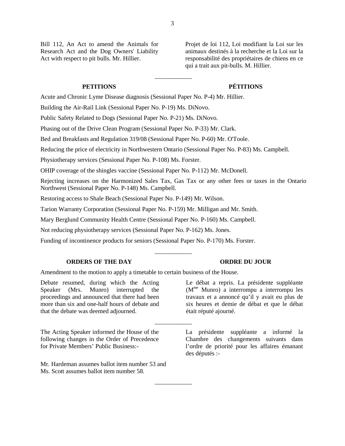Bill 112, An Act to amend the Animals for Research Act and the Dog Owners' Liability Act with respect to pit bulls. Mr. Hillier.

Projet de loi 112, Loi modifiant la Loi sur les animaux destinés à la recherche et la Loi sur la responsabilité des propriétaires de chiens en ce qui a trait aux pit-bulls. M. Hillier.

# **PETITIONS PÉTITIONS**

Acute and Chronic Lyme Disease diagnosis (Sessional Paper No. P-4) Mr. Hillier.

Building the Air-Rail Link (Sessional Paper No. P-19) Ms. DiNovo.

Public Safety Related to Dogs (Sessional Paper No. P-21) Ms. DiNovo.

Phasing out of the Drive Clean Program (Sessional Paper No. P-33) Mr. Clark.

Bed and Breakfasts and Regulation 319/08 (Sessional Paper No. P-60) Mr. O'Toole.

Reducing the price of electricity in Northwestern Ontario (Sessional Paper No. P-83) Ms. Campbell.

Physiotherapy services (Sessional Paper No. P-108) Ms. Forster.

OHIP coverage of the shingles vaccine (Sessional Paper No. P-112) Mr. McDonell.

Rejecting increases on the Harmonized Sales Tax, Gas Tax or any other fees or taxes in the Ontario Northwest (Sessional Paper No. P-148) Ms. Campbell.

\_\_\_\_\_\_\_\_\_\_\_\_

\_\_\_\_\_\_\_\_\_\_\_\_

\_\_\_\_\_\_\_\_\_\_\_\_

Restoring access to Shale Beach (Sessional Paper No. P-149) Mr. Wilson.

Tarion Warranty Corporation (Sessional Paper No. P-159) Mr. Milligan and Mr. Smith.

Mary Berglund Community Health Centre (Sessional Paper No. P-160) Ms. Campbell.

Not reducing physiotherapy services (Sessional Paper No. P-162) Ms. Jones.

Funding of incontinence products for seniors (Sessional Paper No. P-170) Ms. Forster.

### **ORDERS OF THE DAY ORDRE DU JOUR**

Amendment to the motion to apply a timetable to certain business of the House.

Debate resumed, during which the Acting Speaker (Mrs. Munro) interrupted the proceedings and announced that there had been more than six and one-half hours of debate and that the debate was deemed adjourned.

The Acting Speaker informed the House of the following changes in the Order of Precedence for Private Members' Public Business:-

Mr. Hardeman assumes ballot item number 53 and Ms. Scott assumes ballot item number 58.

Le débat a repris. La présidente suppléante (Mme Munro) a interrompu a interrompu les travaux et a annoncé qu'il y avait eu plus de six heures et demie de débat et que le débat était réputé ajourné.

La présidente suppléante a informé la Chambre des changements suivants dans l'ordre de priorité pour les affaires émanant des députés :-

3

\_\_\_\_\_\_\_\_\_\_\_\_